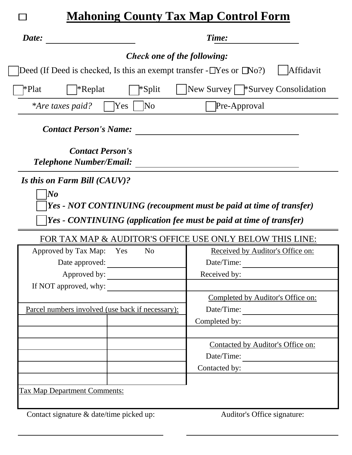| <b>Mahoning County Tax Map Control Form</b>                                                                                               |                                                 |
|-------------------------------------------------------------------------------------------------------------------------------------------|-------------------------------------------------|
| Date:                                                                                                                                     | Time:                                           |
| <b>Check one of the following:</b>                                                                                                        |                                                 |
| Deed (If Deed is checked, Is this an exempt transfer - $\Box$ Yes or $\Box$ No?)                                                          | Affidavit                                       |
| *Plat<br><sup>*</sup> Replat<br>*Split                                                                                                    | New Survey   *Survey Consolidation              |
| Yes<br>No<br><i>*Are taxes paid?</i>                                                                                                      | Pre-Approval                                    |
| <b>Contact Person's Name:</b>                                                                                                             |                                                 |
| <b>Contact Person's</b><br><b>Telephone Number/Email:</b>                                                                                 |                                                 |
| Is this on Farm Bill (CAUV)?                                                                                                              |                                                 |
| Yes - NOT CONTINUING (recoupment must be paid at time of transfer)<br>Yes - CONTINUING (application fee must be paid at time of transfer) |                                                 |
| FOR TAX MAP & AUDITOR'S OFFICE USE ONLY BELOW THIS LINE:<br>N <sub>o</sub><br>Approved by Tax Map:<br>Yes                                 | Received by Auditor's Office on:                |
| Date approved:                                                                                                                            | Date/Time:                                      |
| Approved by:                                                                                                                              | Received by:                                    |
| If NOT approved, why:                                                                                                                     |                                                 |
|                                                                                                                                           |                                                 |
|                                                                                                                                           |                                                 |
|                                                                                                                                           | Completed by Auditor's Office on:<br>Date/Time: |
| Parcel numbers involved (use back if necessary):                                                                                          |                                                 |
|                                                                                                                                           | Completed by:                                   |
|                                                                                                                                           | Contacted by Auditor's Office on:               |
|                                                                                                                                           |                                                 |
|                                                                                                                                           | Date/Time:<br>Contacted by:                     |
|                                                                                                                                           |                                                 |
| <b>Tax Map Department Comments:</b>                                                                                                       |                                                 |
|                                                                                                                                           |                                                 |

 $\overline{\phantom{a}}$